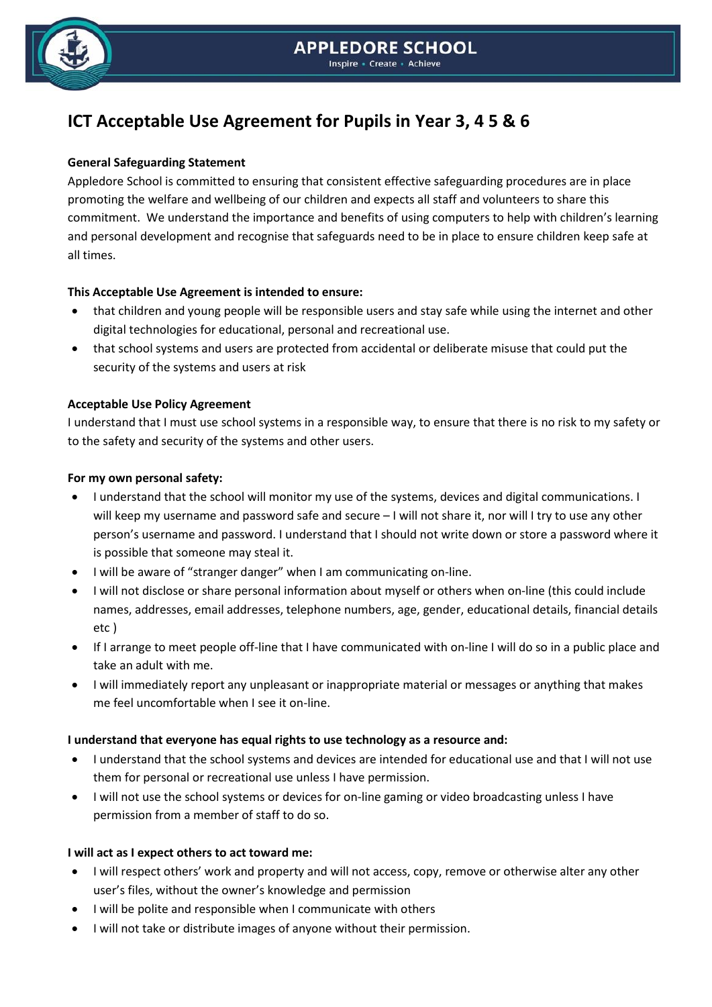

# **ICT Acceptable Use Agreement for Pupils in Year 3, 4 5 & 6**

# **General Safeguarding Statement**

Appledore School is committed to ensuring that consistent effective safeguarding procedures are in place promoting the welfare and wellbeing of our children and expects all staff and volunteers to share this commitment. We understand the importance and benefits of using computers to help with children's learning and personal development and recognise that safeguards need to be in place to ensure children keep safe at all times.

# **This Acceptable Use Agreement is intended to ensure:**

- that children and young people will be responsible users and stay safe while using the internet and other digital technologies for educational, personal and recreational use.
- that school systems and users are protected from accidental or deliberate misuse that could put the security of the systems and users at risk

# **Acceptable Use Policy Agreement**

I understand that I must use school systems in a responsible way, to ensure that there is no risk to my safety or to the safety and security of the systems and other users.

#### **For my own personal safety:**

- I understand that the school will monitor my use of the systems, devices and digital communications. I will keep my username and password safe and secure – I will not share it, nor will I try to use any other person's username and password. I understand that I should not write down or store a password where it is possible that someone may steal it.
- I will be aware of "stranger danger" when I am communicating on-line.
- I will not disclose or share personal information about myself or others when on-line (this could include names, addresses, email addresses, telephone numbers, age, gender, educational details, financial details etc )
- If I arrange to meet people off-line that I have communicated with on-line I will do so in a public place and take an adult with me.
- I will immediately report any unpleasant or inappropriate material or messages or anything that makes me feel uncomfortable when I see it on-line.

# **I understand that everyone has equal rights to use technology as a resource and:**

- I understand that the school systems and devices are intended for educational use and that I will not use them for personal or recreational use unless I have permission.
- I will not use the school systems or devices for on-line gaming or video broadcasting unless I have permission from a member of staff to do so.

# **I will act as I expect others to act toward me:**

- I will respect others' work and property and will not access, copy, remove or otherwise alter any other user's files, without the owner's knowledge and permission
- I will be polite and responsible when I communicate with others
- I will not take or distribute images of anyone without their permission.